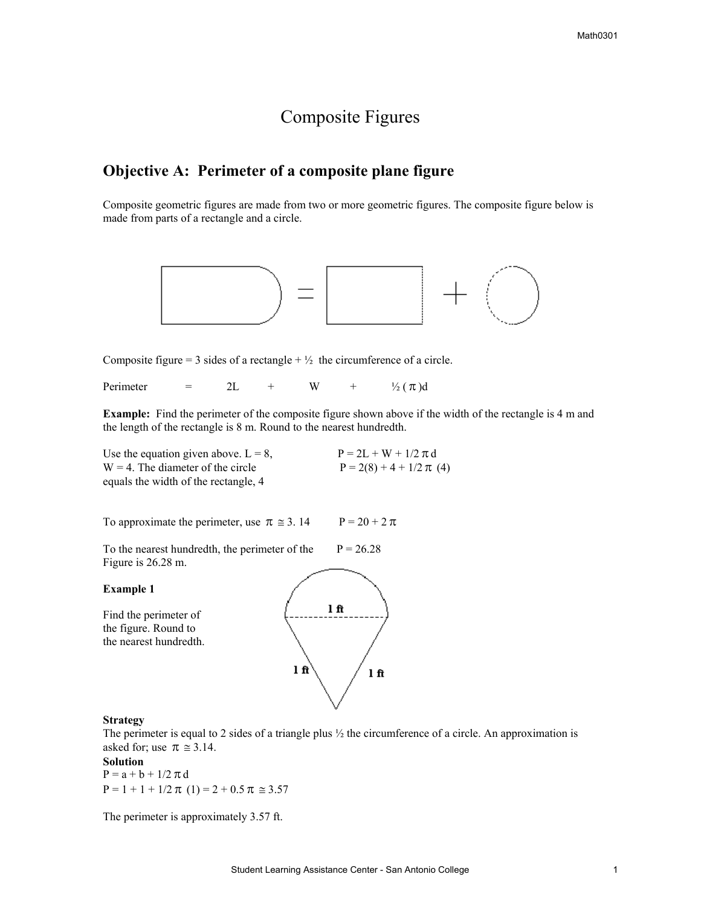# Composite Figures

### **Objective A: Perimeter of a composite plane figure**

Composite geometric figures are made from two or more geometric figures. The composite figure below is made from parts of a rectangle and a circle.



Composite figure = 3 sides of a rectangle +  $\frac{1}{2}$  the circumference of a circle.

Perimeter = 2L + W +  $\frac{1}{2}(\pi)d$ 

**Example:** Find the perimeter of the composite figure shown above if the width of the rectangle is 4 m and the length of the rectangle is 8 m. Round to the nearest hundredth.

| Use the equation given above. $L = 8$ , | $P = 2L + W + 1/2 \pi d$     |
|-----------------------------------------|------------------------------|
| $W = 4$ . The diameter of the circle    | $P = 2(8) + 4 + 1/2 \pi (4)$ |
| equals the width of the rectangle, 4    |                              |

To approximate the perimeter, use  $\pi \approx 3.14$  P = 20 + 2 $\pi$ 

To the nearest hundredth, the perimeter of the  $P = 26.28$ Figure is 26.28 m.

**Example 1** 

Find the perimeter of the figure. Round to the nearest hundredth.



#### **Strategy**

The perimeter is equal to 2 sides of a triangle plus  $\frac{1}{2}$  the circumference of a circle. An approximation is asked for; use  $\pi \approx 3.14$ .

**Solution** 

 $P = a + b + 1/2 \pi d$  $P = 1 + 1 + 1/2 \pi (1) = 2 + 0.5 \pi \approx 3.57$ 

The perimeter is approximately 3.57 ft.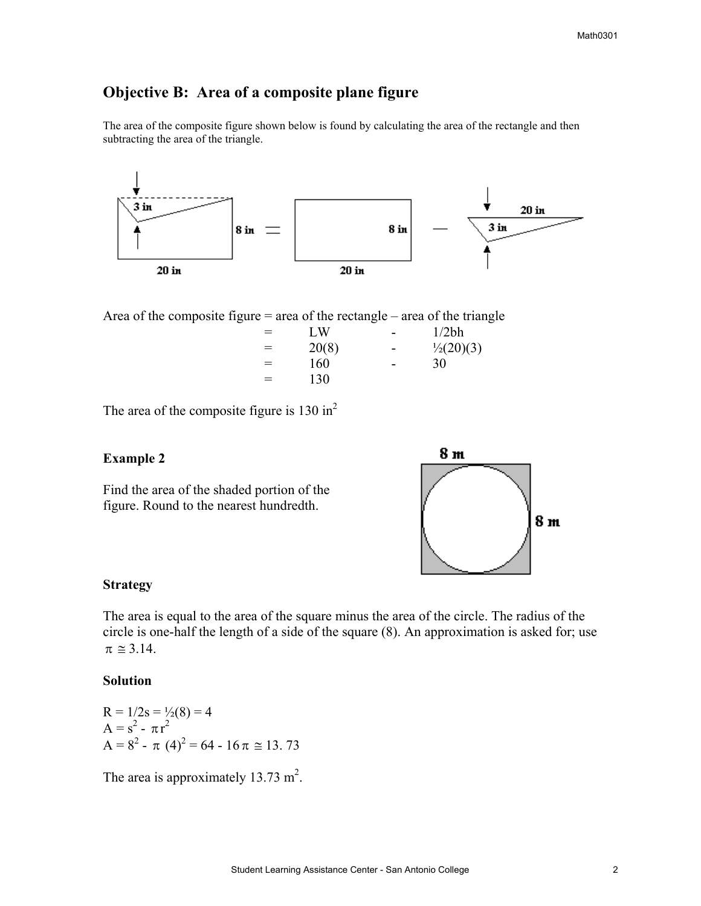### **Objective B: Area of a composite plane figure**

The area of the composite figure shown below is found by calculating the area of the rectangle and then subtracting the area of the triangle.



Area of the composite figure  $=$  area of the rectangle  $-$  area of the triangle

| $=$ | LW    | $\sim$                   | 1/2bh                |
|-----|-------|--------------------------|----------------------|
| $=$ | 20(8) | $\sim$                   | $\frac{1}{2}(20)(3)$ |
| $=$ | 160   | $\overline{\phantom{a}}$ | 30                   |
| $=$ | 130   |                          |                      |

The area of the composite figure is  $130 \text{ in}^2$ 

#### **Example 2**

Find the area of the shaded portion of the figure. Round to the nearest hundredth.



### **Strategy**

The area is equal to the area of the square minus the area of the circle. The radius of the circle is one-half the length of a side of the square (8). An approximation is asked for; use  $\pi \approx 3.14$ .

#### **Solution**

 $R = 1/2s = \frac{1}{2}(8) = 4$  $A = s^2 - \pi r^2$  $A = 8^2 - \pi (4)^2 = 64 - 16 \pi \approx 13.73$ 

The area is approximately  $13.73 \text{ m}^2$ .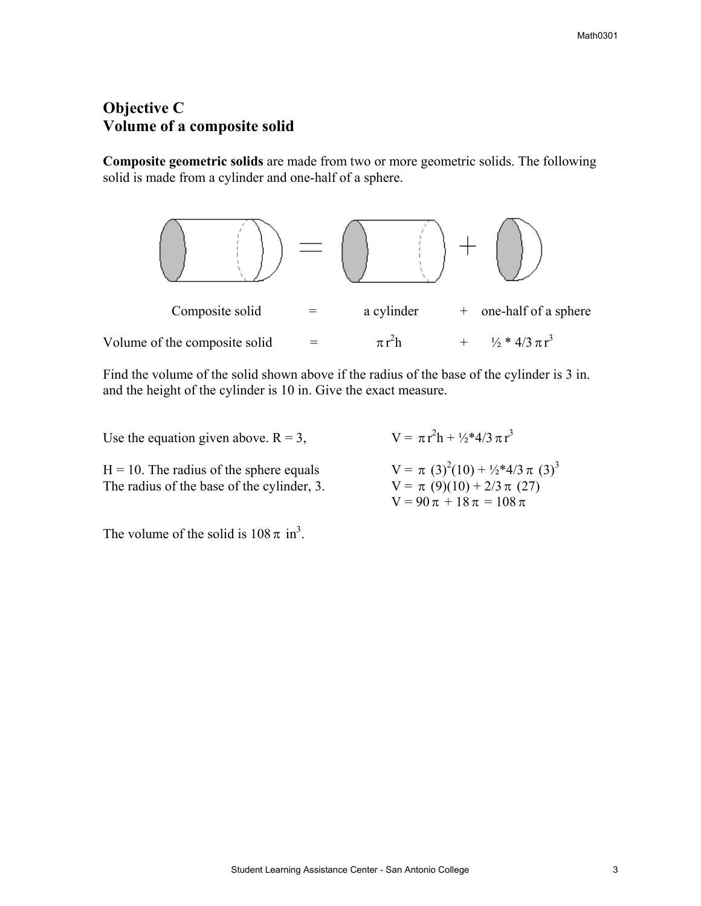## **Objective C Volume of a composite solid**

**Composite geometric solids** are made from two or more geometric solids. The following solid is made from a cylinder and one-half of a sphere.



Find the volume of the solid shown above if the radius of the base of the cylinder is 3 in. and the height of the cylinder is 10 in. Give the exact measure.

Use the equation given above.  $R = 3$ ,

 $H = 10$ . The radius of the sphere equals The radius of the base of the cylinder, 3.  $V = \pi (9)(10) + 2/3 \pi (27)$ 

 $V = \pi (3)^{2}(10) + \frac{1}{2}*4/3 \pi (3)^{3}$  $V = 90 \pi + 18 \pi = 108 \pi$ 

 $^{2}h + \frac{1}{2}*4/3 \pi r^{3}$ 

The volume of the solid is  $108 \pi$  in<sup>3</sup>.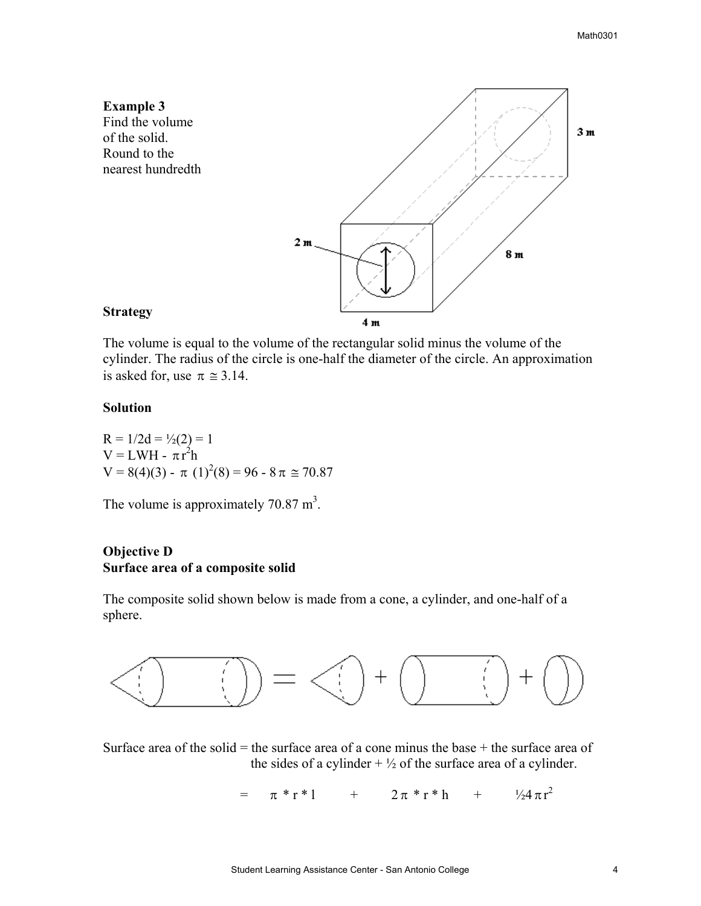

The volume is equal to the volume of the rectangular solid minus the volume of the cylinder. The radius of the circle is one-half the diameter of the circle. An approximation is asked for, use  $\pi \approx 3.14$ .

#### **Solution**

R = 1/2d = 
$$
\frac{1}{2}
$$
(2) = 1  
V = LWH - πr<sup>2</sup>h  
V = 8(4)(3) - π (1)<sup>2</sup>(8) = 96 - 8π ≅ 70.87

The volume is approximately 70.87  $m<sup>3</sup>$ .

### **Objective D Surface area of a composite solid**

The composite solid shown below is made from a cone, a cylinder, and one-half of a sphere.



Surface area of the solid  $=$  the surface area of a cone minus the base  $+$  the surface area of the sides of a cylinder  $+ \frac{1}{2}$  of the surface area of a cylinder.

> $= \pi * r * 1 + 2\pi * r * h$ +  $\frac{1}{2}4\pi r^2$